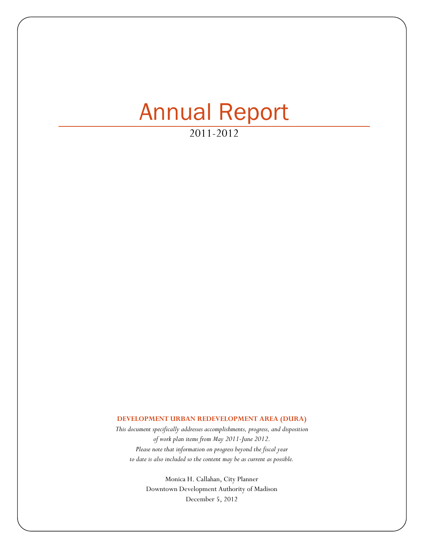# Annual Report

2011-2012

### **DEVELOPMENT URBAN REDEVELOPMENT AREA (DURA)**

*This document specifically addresses accomplishments, progress, and disposition of work plan items from May 2011-June 2012. Please note that information on progress beyond the fiscal year to date is also included so the content may be as current as possible.*

> Monica H. Callahan, City Planner Downtown Development Authority of Madison December 5, 2012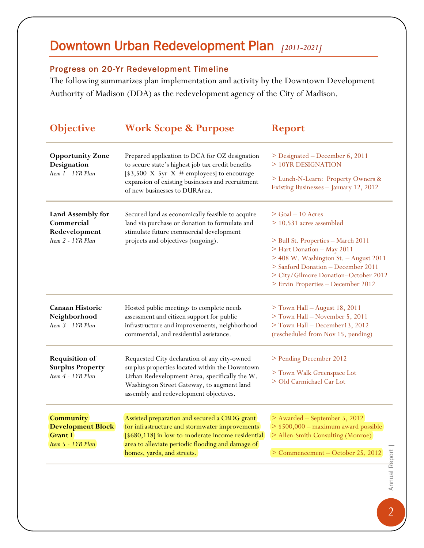## Downtown Urban Redevelopment Plan *[2011-2021]*

### Progress on 20-Yr Redevelopment Timeline

The following summarizes plan implementation and activity by the Downtown Development Authority of Madison (DDA) as the redevelopment agency of the City of Madison.

| <b>Objective</b>                                                             | <b>Work Scope &amp; Purpose</b>                                                                                                                                                                                                         | <b>Report</b>                                                                                                                                                                                                                 |
|------------------------------------------------------------------------------|-----------------------------------------------------------------------------------------------------------------------------------------------------------------------------------------------------------------------------------------|-------------------------------------------------------------------------------------------------------------------------------------------------------------------------------------------------------------------------------|
| <b>Opportunity Zone</b><br>Designation<br>Item 1 - 1YR Plan                  | Prepared application to DCA for OZ designation<br>to secure state's highest job tax credit benefits<br>[\$3,500 X 5yr X # employees] to encourage<br>expansion of existing businesses and recruitment<br>of new businesses to DURArea.  | > Designated – December 6, 2011<br>> 10YR DESIGNATION                                                                                                                                                                         |
|                                                                              |                                                                                                                                                                                                                                         | > Lunch-N-Learn: Property Owners &<br>Existing Businesses - January 12, 2012                                                                                                                                                  |
| Land Assembly for<br>Commercial<br>Redevelopment<br>Item 2 - 1YR Plan        | Secured land as economically feasible to acquire<br>land via purchase or donation to formulate and<br>stimulate future commercial development<br>projects and objectives (ongoing).                                                     | $>$ Goal $-10$ Acres<br>$>$ 10.531 acres assembled                                                                                                                                                                            |
|                                                                              |                                                                                                                                                                                                                                         | > Bull St. Properties – March 2011<br>> Hart Donation - May 2011<br>> 408 W. Washington St. - August 2011<br>> Sanford Donation - December 2011<br>> City/Gilmore Donation-October 2012<br>> Ervin Properties - December 2012 |
| Canaan Historic<br>Neighborhood<br>Item 3 - 1YR Plan                         | Hosted public meetings to complete needs<br>assessment and citizen support for public<br>infrastructure and improvements, neighborhood<br>commercial, and residential assistance.                                                       | > Town Hall - August 18, 2011<br>> Town Hall - November 5, 2011<br>> Town Hall - December 13, 2012<br>(rescheduled from Nov 15, pending)                                                                                      |
| <b>Requisition of</b><br><b>Surplus Property</b><br>Item 4 - 1YR Plan        | Requested City declaration of any city-owned<br>surplus properties located within the Downtown<br>Urban Redevelopment Area, specifically the W.<br>Washington Street Gateway, to augment land<br>assembly and redevelopment objectives. | > Pending December 2012<br>> Town Walk Greenspace Lot<br>> Old Carmichael Car Lot                                                                                                                                             |
| Community<br><b>Development Block</b><br><b>Grant I</b><br>Item 5 - 1YR Plan | Assisted preparation and secured a CBDG grant<br>for infrastructure and stormwater improvements<br>[\$680,118] in low-to-moderate income residential<br>area to alleviate periodic flooding and damage of<br>homes, yards, and streets. | > Awarded – September 5, 2012<br>> \$500,000 - maximum award possible<br>> Allen-Smith Consulting (Monroe)<br>> Commencement - October 25, 2012                                                                               |
|                                                                              |                                                                                                                                                                                                                                         | Annual Report                                                                                                                                                                                                                 |
|                                                                              |                                                                                                                                                                                                                                         |                                                                                                                                                                                                                               |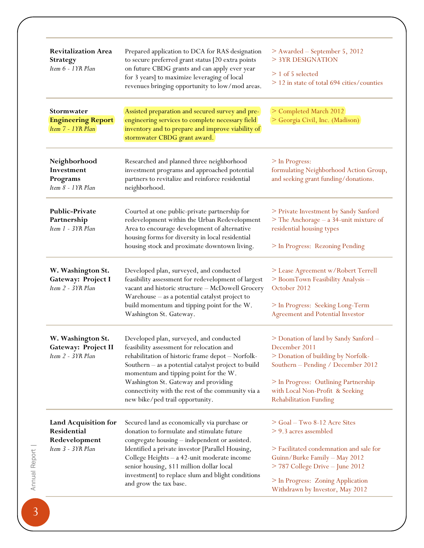| <b>Revitalization Area</b><br><b>Strategy</b><br>Item 6 - 1YR Plan        | Prepared application to DCA for RAS designation<br>to secure preferred grant status [20 extra points<br>on future CBDG grants and can apply ever year<br>for 3 years] to maximize leveraging of local<br>revenues bringing opportunity to low/mod areas.                                                                                                                   | > Awarded - September 5, 2012<br>> 3YR DESIGNATION<br>$> 1$ of 5 selected<br>> 12 in state of total 694 cities/counties                                                                                                                        |
|---------------------------------------------------------------------------|----------------------------------------------------------------------------------------------------------------------------------------------------------------------------------------------------------------------------------------------------------------------------------------------------------------------------------------------------------------------------|------------------------------------------------------------------------------------------------------------------------------------------------------------------------------------------------------------------------------------------------|
| Stormwater<br><b>Engineering Report</b><br>Item 7 - 1YR Plan              | Assisted preparation and secured survey and pre-<br>engineering services to complete necessary field<br>inventory and to prepare and improve viability of<br>stormwater CBDG grant award.                                                                                                                                                                                  | > Completed March 2012<br>> Georgia Civil, Inc. (Madison)                                                                                                                                                                                      |
| Neighborhood<br>Investment<br>Programs<br>Item 8 - 1YR Plan               | Researched and planned three neighborhood<br>investment programs and approached potential<br>partners to revitalize and reinforce residential<br>neighborhood.                                                                                                                                                                                                             | > In Progress:<br>formulating Neighborhood Action Group,<br>and seeking grant funding/donations.                                                                                                                                               |
| <b>Public-Private</b><br>Partnership<br>Item 1 - 3YR Plan                 | Courted at one public-private partnership for<br>redevelopment within the Urban Redevelopment<br>Area to encourage development of alternative<br>housing forms for diversity in local residential<br>housing stock and proximate downtown living.                                                                                                                          | > Private Investment by Sandy Sanford<br>> The Anchorage - a 34-unit mixture of<br>residential housing types<br>> In Progress: Rezoning Pending                                                                                                |
| W. Washington St.<br>Gateway: Project I<br>Item 2 - 3YR Plan              | Developed plan, surveyed, and conducted<br>feasibility assessment for redevelopment of largest<br>vacant and historic structure - McDowell Grocery<br>Warehouse - as a potential catalyst project to<br>build momentum and tipping point for the W.<br>Washington St. Gateway.                                                                                             | > Lease Agreement w/Robert Terrell<br>> BoomTown Feasibility Analysis -<br>October 2012<br>> In Progress: Seeking Long-Term<br>Agreement and Potential Investor                                                                                |
| W. Washington St.<br>Gateway: Project II<br>Item 2 - 3YR Plan             | Developed plan, surveyed, and conducted<br>feasibility assessment for relocation and<br>rehabilitation of historic frame depot - Norfolk-<br>Southern – as a potential catalyst project to build<br>momentum and tipping point for the W.<br>Washington St. Gateway and providing<br>connectivity with the rest of the community via a<br>new bike/ped trail opportunity.  | > Donation of land by Sandy Sanford -<br>December 2011<br>> Donation of building by Norfolk-<br>Southern - Pending / December 2012<br>> In Progress: Outlining Partnership<br>with Local Non-Profit & Seeking<br><b>Rehabilitation Funding</b> |
| Land Acquisition for<br>Residential<br>Redevelopment<br>Item 3 - 3YR Plan | Secured land as economically via purchase or<br>donation to formulate and stimulate future<br>congregate housing - independent or assisted.<br>Identified a private investor [Parallel Housing,<br>College Heights - a 42-unit moderate income<br>senior housing, \$11 million dollar local<br>investment] to replace slum and blight conditions<br>and grow the tax base. | > Goal - Two 8-12 Acre Sites<br>> 9.3 acres assembled<br>> Facilitated condemnation and sale for<br>Guinn/Burke Family - May 2012<br>> 787 College Drive - June 2012<br>> In Progress: Zoning Application<br>Withdrawn by Investor, May 2012   |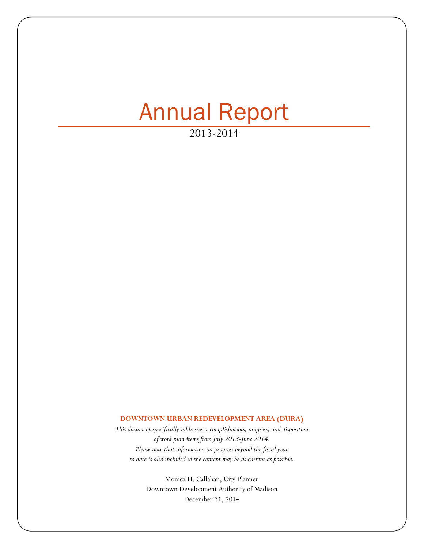# Annual Report

2013-2014

#### **DOWNTOWN URBAN REDEVELOPMENT AREA (DURA)**

*This document specifically addresses accomplishments, progress, and disposition of work plan items from July 2013-June 2014. Please note that information on progress beyond the fiscal year to date is also included so the content may be as current as possible.* 

> Monica H. Callahan, City Planner Downtown Development Authority of Madison December 31, 2014